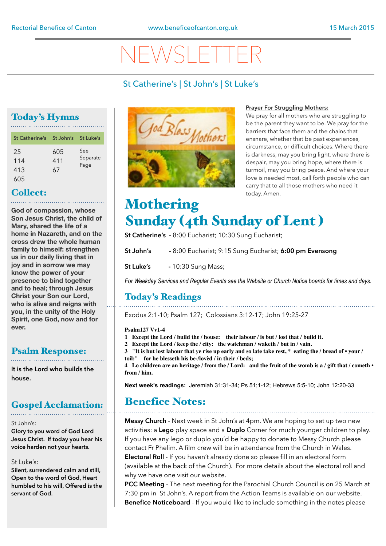# NEWSLETTER

# St Catherine's | St John's | St Luke's

# Today's Hymns

| St Catherine's St John's St Luke's |                  |                         |
|------------------------------------|------------------|-------------------------|
| 25<br>114<br>413<br>605            | 605<br>411<br>67 | See<br>Separate<br>Page |

## Collect:

**God of compassion, whose Son Jesus Christ, the child of Mary, shared the life of a home in Nazareth, and on the cross drew the whole human family to himself: strengthen us in our daily living that in joy and in sorrow we may know the power of your presence to bind together and to heal; through Jesus Christ your Son our Lord, who is alive and reigns with you, in the unity of the Holy Spirit, one God, now and for ever.** 

# Psalm Response:

**It is the Lord who builds the house.** 

# Gospel Acclamation:

### St John's:

**Glory to you word of God Lord Jesus Christ. If today you hear his voice harden not your hearts.** 

### St Luke's:

**Silent, surrendered calm and still, Open to the word of God, Heart humbled to his will, Offered is the servant of God.**



### **Prayer For Struggling Mothers:**

We pray for all mothers who are struggling to be the parent they want to be. We pray for the barriers that face them and the chains that ensnare, whether that be past experiences, circumstance, or difficult choices. Where there is darkness, may you bring light, where there is despair, may you bring hope, where there is turmoil, may you bring peace. And where your love is needed most, call forth people who can carry that to all those mothers who need it today. Amen.

# **Mothering** Sunday (4th Sunday of Lent )

**St Catherine's -** 8:00 Eucharist; 10:30 Sung Eucharist;

**St John's -** 8:00 Eucharist; 9:15 Sung Eucharist; **6:00 pm Evensong** 

**St Luke's** - 10:30 Sung Mass;

*For Weekday Services and Regular Events see the Website or Church Notice boards for times and days.*

# Today's Readings

Exodus 2:1-10; Psalm 127; Colossians 3:12-17; John 19:25-27

### **Psalm127 Vv1-4**

**1 Except the Lord / build the / house: their labour / is but / lost that / build it.**

**2 Except the Lord / keep the / city: the watchman / waketh / but in / vain.**

**3 "It is but lost labour that ye rise up early and so late take rest, \* eating the / bread of • your / toil:" for he blesseth his be-/lovèd / in their / beds;**

**4 Lo children are an heritage / from the / Lord: and the fruit of the womb is a / gift that / cometh • from / him.**

**Next week's readings:** Jeremiah 31:31-34; Ps 51;1-12; Hebrews 5:5-10; John 12:20-33

# Benefice Notes:

**Messy Church** - Next week in St John's at 4pm. We are hoping to set up two new activities: a **Lego** play space and a **Duplo** Corner for much younger children to play. If you have any lego or duplo you'd be happy to donate to Messy Church please contact Fr Phelim. A film crew will be in attendance from the Church in Wales. **Electoral Roll** - If you haven't already done so please fill in an electoral form (available at the back of the Church). For more details about the electoral roll and why we have one visit our website.

**PCC Meeting** - The next meeting for the Parochial Church Council is on 25 March at 7:30 pm in St John's. A report from the Action Teams is available on our website. **Benefice Noticeboard** - If you would like to include something in the notes please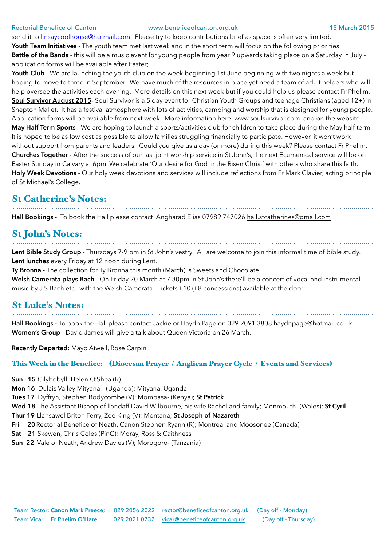### Rectorial Benefice of Canton [www.beneficeofcanton.org.uk](http://www.beneficeofcanton.org.uk) 15 March 2015

send it to [linsaycoolhouse@hotmail.com.](mailto:linsaycoolhouse@hotmail.com) Please try to keep contributions brief as space is often very limited. **Youth Team Initiatives** - The youth team met last week and in the short term will focus on the following priorities: **Battle of the Bands** - this will be a music event for young people from year 9 upwards taking place on a Saturday in July application forms will be available after Easter;

Youth Club - We are launching the youth club on the week beginning 1st June beginning with two nights a week but hoping to move to three in September. We have much of the resources in place yet need a team of adult helpers who will help oversee the activities each evening. More details on this next week but if you could help us please contact Fr Phelim. **Soul Survivor August 2015**- Soul Survivor is a 5 day event for Christian Youth Groups and teenage Christians (aged 12+) in Shepton Mallet. It has a festival atmosphere with lots of activities, camping and worship that is designed for young people. Application forms will be available from next week. More information here [www.soulsurvivor.com](http://www.soulsurvivor.com) and on the website. **May Half Term Sports** - We are hoping to launch a sports/activities club for children to take place during the May half term. It is hoped to be as low cost as possible to allow families struggling financially to participate. However, it won't work without support from parents and leaders. Could you give us a day (or more) during this week? Please contact Fr Phelim. **Churches Together -** After the success of our last joint worship service in St John's, the next Ecumenical service will be on Easter Sunday in Calvary at 6pm. We celebrate 'Our desire for God in the Risen Christ' with others who share this faith. **Holy Week Devotions** - Our holy week devotions and services will include reflections from Fr Mark Clavier, acting principle of St Michael's College.

### St Catherine's Notes:

**Hall Bookings -** To book the Hall please contact Angharad Elias 07989 747026 [hall.stcatherines@gmail.com](mailto:hall.stcatherines@gmail.com)

# St John's Notes:

**Lent Bible Study Group** - Thursdays 7-9 pm in St John's vestry. All are welcome to join this informal time of bible study. **Lent lunches** every Friday at 12 noon during Lent.

**Ty Bronna -** The collection for Ty Bronna this month (March) is Sweets and Chocolate.

**Welsh Camerata plays Bach** - On Friday 20 March at 7.30pm in St John's there'll be a concert of vocal and instrumental music by J S Bach etc. with the Welsh Camerata . Tickets £10 (£8 concessions) available at the door.

### St Luke's Notes:

**Hall Bookings -** To book the Hall please contact Jackie or Haydn Page on 029 2091 3808 [haydnpage@hotmail.co.uk](mailto:haydnpage@hotmail.co.uk) **Women's Group** - David James will give a talk about Queen Victoria on 26 March.

**Recently Departed:** Mayo Atwell, Rose Carpin

### This Week in the Benefice: (Diocesan Prayer / Anglican Prayer Cycle / Events and Services)

- **Sun 15** Cilybebyll: Helen O'Shea (R)
- **Mon 16** Dulais Valley Mityana (Uganda); Mityana, Uganda
- **Tues 17** Dyffryn, Stephen Bodycombe (V); Mombasa- (Kenya); **St Patrick**
- **Wed 18** The Assistant Bishop of llandaff David Wilbourne, his wife Rachel and family; Monmouth- (Wales); **St Cyril**
- **Thur 19** Llansawel Briton Ferry, Zoe King (V); Montana; **St Joseph of Nazareth**
- **Fri 20**Rectorial Benefice of Neath, Canon Stephen Ryann (R); Montreal and Moosonee (Canada)
- **Sat 21** Skewen, Chris Coles (PinC); Moray, Ross & Caithness
- **Sun 22** Vale of Neath, Andrew Davies (V); Morogoro- (Tanzania)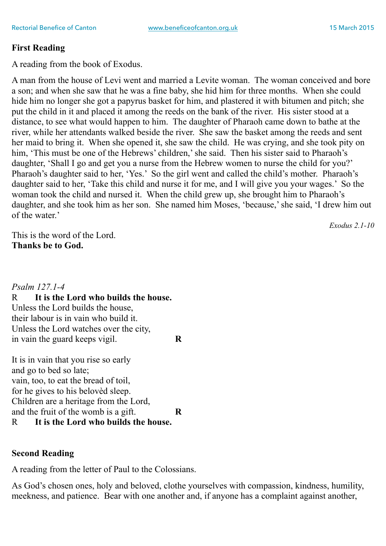## **First Reading**

A reading from the book of Exodus.

A man from the house of Levi went and married a Levite woman. The woman conceived and bore a son; and when she saw that he was a fine baby, she hid him for three months. When she could hide him no longer she got a papyrus basket for him, and plastered it with bitumen and pitch; she put the child in it and placed it among the reeds on the bank of the river. His sister stood at a distance, to see what would happen to him. The daughter of Pharaoh came down to bathe at the river, while her attendants walked beside the river. She saw the basket among the reeds and sent her maid to bring it. When she opened it, she saw the child. He was crying, and she took pity on him, 'This must be one of the Hebrews' children,' she said. Then his sister said to Pharaoh's daughter, 'Shall I go and get you a nurse from the Hebrew women to nurse the child for you?' Pharaoh's daughter said to her, 'Yes.' So the girl went and called the child's mother. Pharaoh's daughter said to her, 'Take this child and nurse it for me, and I will give you your wages.' So the woman took the child and nursed it. When the child grew up, she brought him to Pharaoh's daughter, and she took him as her son. She named him Moses, 'because,' she said, 'I drew him out of the water.'

*Exodus 2.1-10*

This is the word of the Lord. **Thanks be to God.**

*Psalm 127.1-4* R **It is the Lord who builds the house.** Unless the Lord builds the house, their labour is in vain who build it. Unless the Lord watches over the city, in vain the guard keeps vigil. **R**

It is in vain that you rise so early and go to bed so late; vain, too, to eat the bread of toil, for he gives to his belovèd sleep. Children are a heritage from the Lord, and the fruit of the womb is a gift. **R** R **It is the Lord who builds the house.**

# **Second Reading**

A reading from the letter of Paul to the Colossians.

As God's chosen ones, holy and beloved, clothe yourselves with compassion, kindness, humility, meekness, and patience. Bear with one another and, if anyone has a complaint against another,